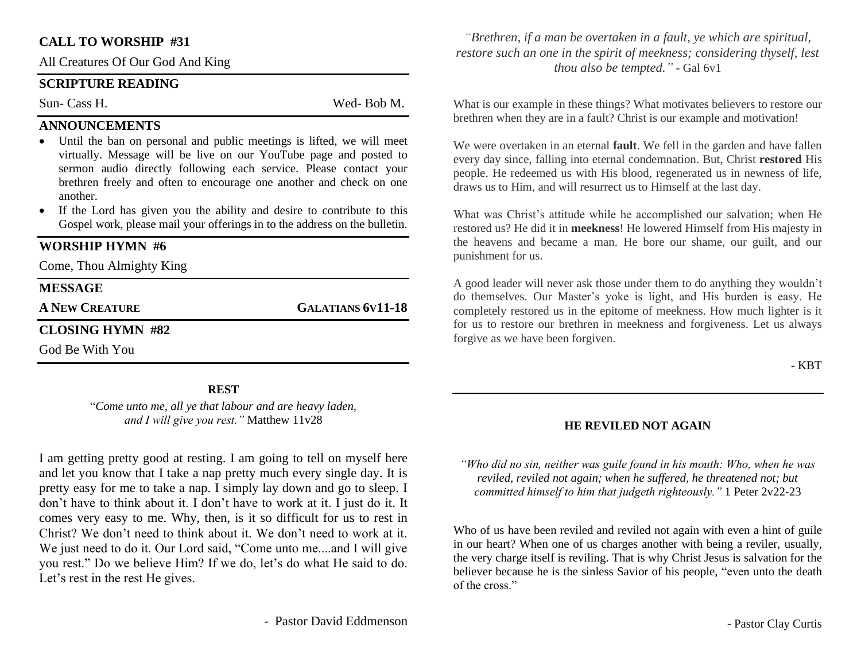#### **CALL TO WORSHIP #31**

All Creatures Of Our God And King

#### **SCRIPTURE READING**

Sun- Cass H. Wed- Bob M.

#### **ANNOUNCEMENTS**

- Until the ban on personal and public meetings is lifted, we will meet virtually. Message will be live on our YouTube page and posted to sermon audio directly following each service. Please contact your brethren freely and often to encourage one another and check on one another.
- If the Lord has given you the ability and desire to contribute to this Gospel work, please mail your offerings in to the address on the bulletin.

#### **WORSHIP HYMN #6**

Come, Thou Almighty King

#### **MESSAGE**

**A NEW CREATURE GALATIANS 6V11-18**

## **CLOSING HYMN #82**

God Be With You

#### **REST**

"*Come unto me, all ye that labour and are heavy laden, and I will give you rest."* Matthew 11v28

I am getting pretty good at resting. I am going to tell on myself here and let you know that I take a nap pretty much every single day. It is pretty easy for me to take a nap. I simply lay down and go to sleep. I don't have to think about it. I don't have to work at it. I just do it. It comes very easy to me. Why, then, is it so difficult for us to rest in Christ? We don't need to think about it. We don't need to work at it. We just need to do it. Our Lord said, "Come unto me....and I will give you rest." Do we believe Him? If we do, let's do what He said to do. Let's rest in the rest He gives.

- Pastor David Eddmenson

*"Brethren, if a man be overtaken in a fault, ye which are spiritual, restore such an one in the spirit of meekness; considering thyself, lest thou also be tempted."* **-** Gal 6v1

What is our example in these things? What motivates believers to restore our brethren when they are in a fault? Christ is our example and motivation!

We were overtaken in an eternal **fault**. We fell in the garden and have fallen every day since, falling into eternal condemnation. But, Christ **restored** His people. He redeemed us with His blood, regenerated us in newness of life, draws us to Him, and will resurrect us to Himself at the last day.

What was Christ's attitude while he accomplished our salvation; when He restored us? He did it in **meekness**! He lowered Himself from His majesty in the heavens and became a man. He bore our shame, our guilt, and our punishment for us.

A good leader will never ask those under them to do anything they wouldn't do themselves. Our Master's yoke is light, and His burden is easy. He completely restored us in the epitome of meekness. How much lighter is it for us to restore our brethren in meekness and forgiveness. Let us always forgive as we have been forgiven.

- KBT

#### **HE REVILED NOT AGAIN**

*"Who did no sin, neither was guile found in his mouth: Who, when he was reviled, reviled not again; when he suffered, he threatened not; but committed himself to him that judgeth righteously."* 1 Peter 2v22-23

Who of us have been reviled and reviled not again with even a hint of guile in our heart? When one of us charges another with being a reviler, usually, the very charge itself is reviling. That is why Christ Jesus is salvation for the believer because he is the sinless Savior of his people, "even unto the death of the cross."